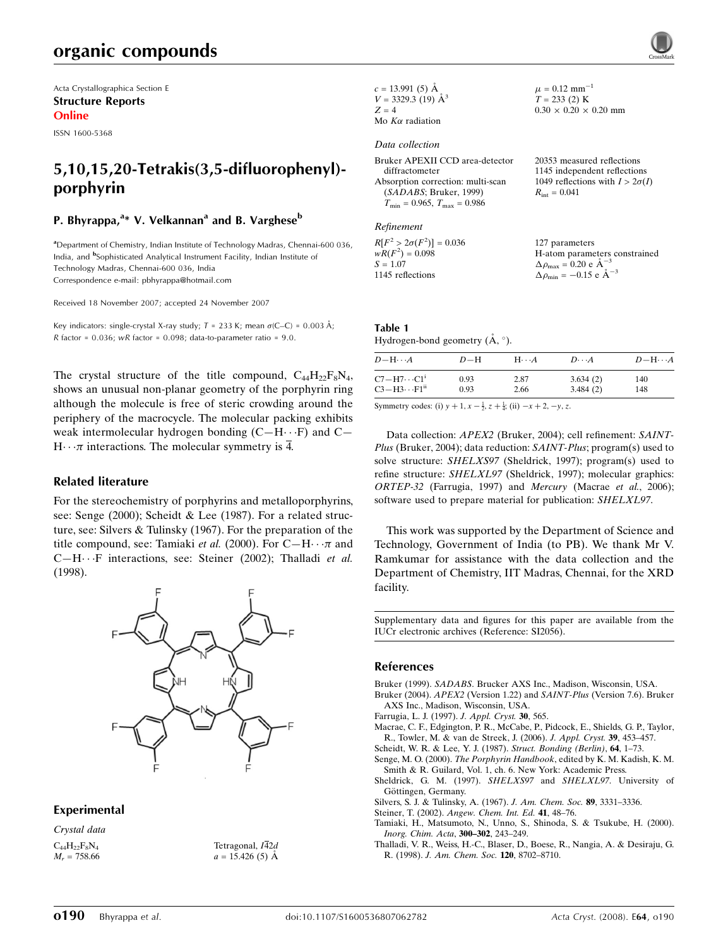Acta Crystallographica Section E Structure Reports Online

ISSN 1600-5368

# 5,10,15,20-Tetrakis(3,5-difluorophenyl) porphyrin

## P. Bhyrappa, $\mathrm{^{a_{*}}}$  V. Velkannan $\mathrm{^{a}}$  and B. Varghese $\mathrm{^{b}}$

<sup>a</sup> Department of Chemistry, Indian Institute of Technology Madras, Chennai-600 036, India, and <sup>b</sup>Sophisticated Analytical Instrument Facility, Indian Institute of Technology Madras, Chennai-600 036, India Correspondence e-mail: pbhyrappa@hotmail.com

Received 18 November 2007; accepted 24 November 2007

Key indicators: single-crystal X-ray study;  $T = 233$  K; mean  $\sigma$ (C–C) = 0.003 Å; R factor =  $0.036$ ; wR factor =  $0.098$ ; data-to-parameter ratio =  $9.0$ .

The crystal structure of the title compound,  $C_{44}H_{22}F_8N_4$ , shows an unusual non-planar geometry of the porphyrin ring although the molecule is free of steric crowding around the periphery of the macrocycle. The molecular packing exhibits weak intermolecular hydrogen bonding  $(C-H \cdot \cdot F)$  and  $C H \cdots \pi$  interactions. The molecular symmetry is  $\overline{4}$ .

### Related literature

For the stereochemistry of porphyrins and metalloporphyrins, see: Senge (2000); Scheidt & Lee (1987). For a related structure, see: Silvers & Tulinsky (1967). For the preparation of the title compound, see: Tamiaki et al. (2000). For  $C-H \cdots \pi$  and C-H $\cdot$  · F interactions, see: Steiner (2002); Thalladi et al. (1998).



### Experimental

Crystal data  $C_{44}H_{22}F_8N_4$  $M_r = 758.66$ 

Tetragonal,  $I\overline{4}2d$  $a = 15.426(5)$  Å  $c = 13.991(5)$  Å  $V = 3329.3$  (19)  $\AA^3$  $Z = 4$ Mo  $K\alpha$  radiation

## Data collection

Bruker APEXII CCD area-detector diffractometer Absorption correction: multi-scan (SADABS; Bruker, 1999)  $T_{\rm min}$  = 0.965,  $T_{\rm max}$  = 0.986

#### Refinement

 $R[F^2 > 2\sigma(F^2)] = 0.036$  $wR(F^2) = 0.098$  $S = 1.07$ 1145 reflections

20353 measured reflections 1145 independent reflections 1049 reflections with  $I > 2\sigma(I)$  $R_{\text{int}} = 0.041$ 

 $\mu = 0.12$  mm<sup>-1</sup>  $T = 233$  (2) K  $0.30 \times 0.20 \times 0.20$  mm

127 parameters H-atom parameters constrained<br> $\Delta \rho = 0.20 \rho \lambda^{-3}$  $\Delta \rho_{\text{max}} = 0.20 \text{ e A}^{-1}$  $\Delta \rho_{\text{min}} = -0.15 \text{ e } \text{\AA}^{-3}$ 

#### Table 1 Hydrogen-bond geometry  $(\mathring{A}, \degree)$ .

| $D - H \cdots A$                  | $D-H$ | $H \cdots A$             | $D\cdots A$ | $D - H \cdots A$ |
|-----------------------------------|-------|--------------------------|-------------|------------------|
| $C7 - H7 \cdots C1$ <sup>i</sup>  | 0.93  | 2.87                     | 3.634(2)    | 140              |
| $C3 - H3 \cdots F1$ <sup>ii</sup> | 0.93  | 2.66                     | 3.484(2)    | 148              |
| $\alpha$ . The $\alpha$           |       | $1 \cdot 1 \cdot \cdots$ |             |                  |

Symmetry codes: (i)  $y + 1$ ,  $x - \frac{1}{2}$ ,  $z + \frac{1}{4}$ ; (ii)  $-x + 2$ ,  $-y$ , z.

Data collection: APEX2 (Bruker, 2004); cell refinement: SAINT-Plus (Bruker, 2004); data reduction: SAINT-Plus; program(s) used to solve structure: SHELXS97 (Sheldrick, 1997); program(s) used to refine structure: SHELXL97 (Sheldrick, 1997); molecular graphics: ORTEP-32 (Farrugia, 1997) and Mercury (Macrae et al., 2006); software used to prepare material for publication: SHELXL97.

This work was supported by the Department of Science and Technology, Government of India (to PB). We thank Mr V. Ramkumar for assistance with the data collection and the Department of Chemistry, IIT Madras, Chennai, for the XRD facility.

Supplementary data and figures for this paper are available from the IUCr electronic archives (Reference: SI2056).

#### References

Bruker (1999). SADABS. Brucker AXS Inc., Madison, Wisconsin, USA.

- Bruker (2004). APEX2 (Version 1.22) and SAINT-Plus (Version 7.6). Bruker AXS Inc., Madison, Wisconsin, USA.
- Farrugia, L. J. (1997). J. Appl. Cryst. 30, 565.

Macrae, C. F., Edgington, P. R., McCabe, P., Pidcock, E., Shields, G. P., Taylor, R., Towler, M. & van de Streek, J. (2006). J. Appl. Cryst. 39, 453–457.

Scheidt, W. R. & Lee, Y. J. (1987). Struct. Bonding (Berlin), 64, 1–73.

Senge, M. O. (2000). The Porphyrin Handbook, edited by K. M. Kadish, K. M.

Smith & R. Guilard, Vol. 1, ch. 6. New York: Academic Press. Sheldrick, G. M. (1997). SHELXS97 and SHELXL97. University of Göttingen, Germany.

Silvers, S. J. & Tulinsky, A. (1967). J. Am. Chem. Soc. 89, 3331–3336.

- Steiner, T. (2002). Angew. Chem. Int. Ed. 41, 48–76.
- Tamiaki, H., Matsumoto, N., Unno, S., Shinoda, S. & Tsukube, H. (2000). Inorg. Chim. Acta, 300–302, 243–249.

Thalladi, V. R., Weiss, H.-C., Blaser, D., Boese, R., Nangia, A. & Desiraju, G. R. (1998). J. Am. Chem. Soc. 120, 8702–8710.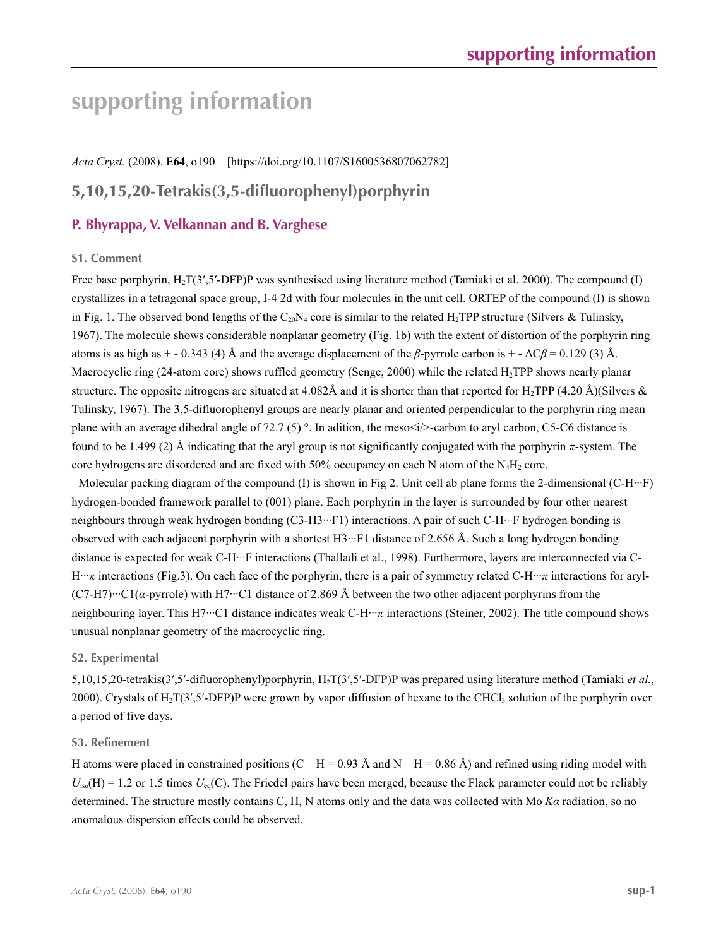# **supporting information**

*Acta Cryst.* (2008). E**64**, o190 [https://doi.org/10.1107/S1600536807062782]

# **5,10,15,20-Tetrakis(3,5-difluorophenyl)porphyrin**

## **P. Bhyrappa, V. Velkannan and B. Varghese**

### **S1. Comment**

Free base porphyrin, H<sub>2</sub>T(3',5'-DFP)P was synthesised using literature method (Tamiaki et al. 2000). The compound (I) crystallizes in a tetragonal space group, I-4 2d with four molecules in the unit cell. ORTEP of the compound (I) is shown in Fig. 1. The observed bond lengths of the C<sub>20</sub>N<sub>4</sub> core is similar to the related H<sub>2</sub>TPP structure (Silvers & Tulinsky, 1967). The molecule shows considerable nonplanar geometry (Fig. 1b) with the extent of distortion of the porphyrin ring atoms is as high as  $+$  - 0.343 (4) Å and the average displacement of the *β*-pyrrole carbon is  $+$  -  $\Delta C\beta$  = 0.129 (3) Å. Macrocyclic ring (24-atom core) shows ruffled geometry (Senge, 2000) while the related H<sub>2</sub>TPP shows nearly planar structure. The opposite nitrogens are situated at 4.082Å and it is shorter than that reported for H<sub>2</sub>TPP (4.20 Å)(Silvers & Tulinsky, 1967). The 3,5-difluorophenyl groups are nearly planar and oriented perpendicular to the porphyrin ring mean plane with an average dihedral angle of 72.7 (5) °. In adition, the meso $\langle i \rangle$ -carbon to aryl carbon, C5-C6 distance is found to be 1.499 (2) Å indicating that the aryl group is not significantly conjugated with the porphyrin *π*-system. The core hydrogens are disordered and are fixed with  $50\%$  occupancy on each N atom of the N<sub>4</sub>H<sub>2</sub> core.

Molecular packing diagram of the compound (I) is shown in Fig 2. Unit cell ab plane forms the 2-dimensional (C-H $\cdot\cdot\cdot$ F) hydrogen-bonded framework parallel to (001) plane. Each porphyrin in the layer is surrounded by four other nearest neighbours through weak hydrogen bonding (C3-H3···F1) interactions. A pair of such C-H···F hydrogen bonding is observed with each adjacent porphyrin with a shortest H3···F1 distance of 2.656 Å. Such a long hydrogen bonding distance is expected for weak C-H···F interactions (Thalladi et al., 1998). Furthermore, layers are interconnected via C-H···*π* interactions (Fig.3). On each face of the porphyrin, there is a pair of symmetry related C-H···*π* interactions for aryl-  $(C7-H7)$ <sup>…</sup>C1( $\alpha$ -pyrrole) with H7…C1 distance of 2.869 Å between the two other adjacent porphyrins from the neighbouring layer. This H7···C1 distance indicates weak C-H···*π* interactions (Steiner, 2002). The title compound shows unusual nonplanar geometry of the macrocyclic ring.

### **S2. Experimental**

5,10,15,20-tetrakis(3′,5′-difluorophenyl)porphyrin, H2T(3′,5′-DFP)P was prepared using literature method (Tamiaki *et al.*, 2000). Crystals of H<sub>2</sub>T(3',5'-DFP)P were grown by vapor diffusion of hexane to the CHCl<sub>3</sub> solution of the porphyrin over a period of five days.

### **S3. Refinement**

H atoms were placed in constrained positions (C—H = 0.93 Å and N—H = 0.86 Å) and refined using riding model with  $U_{iso}(H) = 1.2$  or 1.5 times  $U_{eq}(C)$ . The Friedel pairs have been merged, because the Flack parameter could not be reliably determined. The structure mostly contains C, H, N atoms only and the data was collected with Mo *Kα* radiation, so no anomalous dispersion effects could be observed.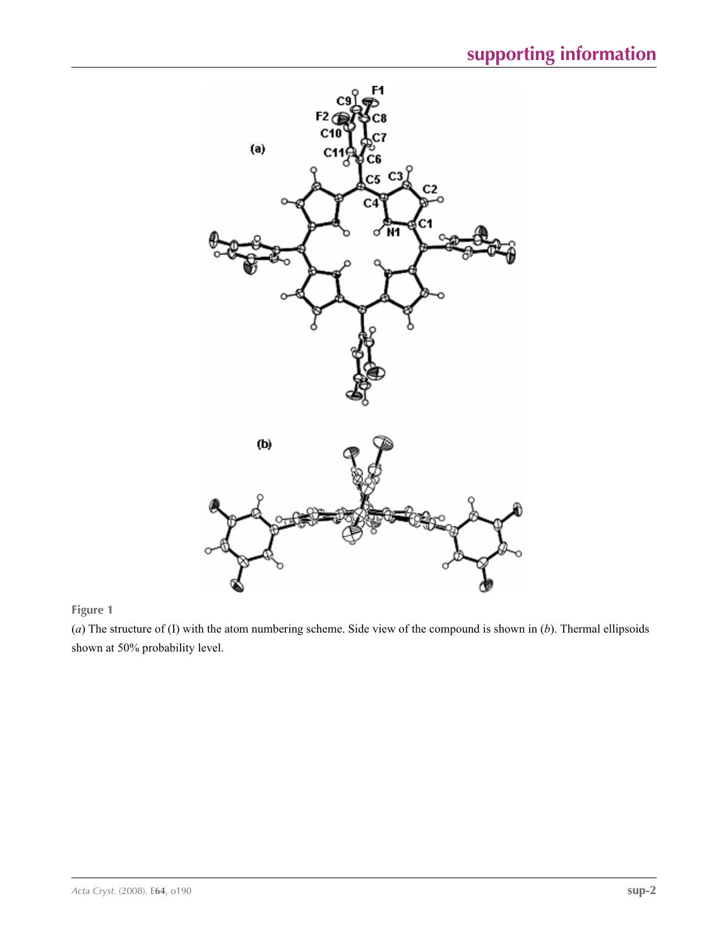

**Figure 1**

(*a*) The structure of (I) with the atom numbering scheme. Side view of the compound is shown in (*b*). Thermal ellipsoids shown at 50% probability level.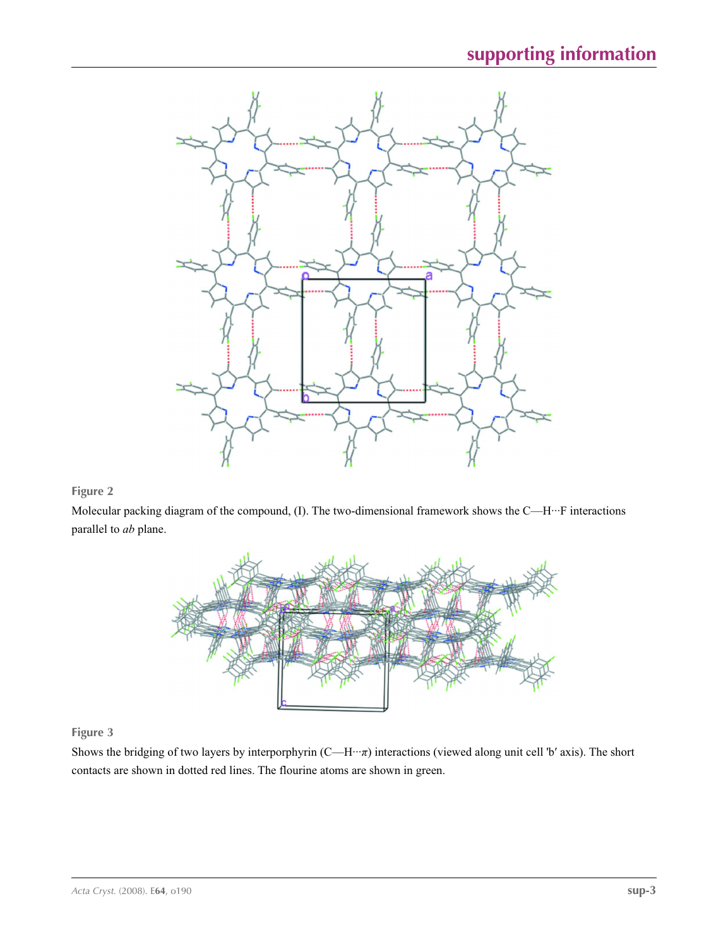

## **Figure 2**

Molecular packing diagram of the compound, (I). The two-dimensional framework shows the C—H···F interactions parallel to *ab* plane.



## **Figure 3**

Shows the bridging of two layers by interporphyrin (C—H···*π*) interactions (viewed along unit cell 'b′ axis). The short contacts are shown in dotted red lines. The flourine atoms are shown in green.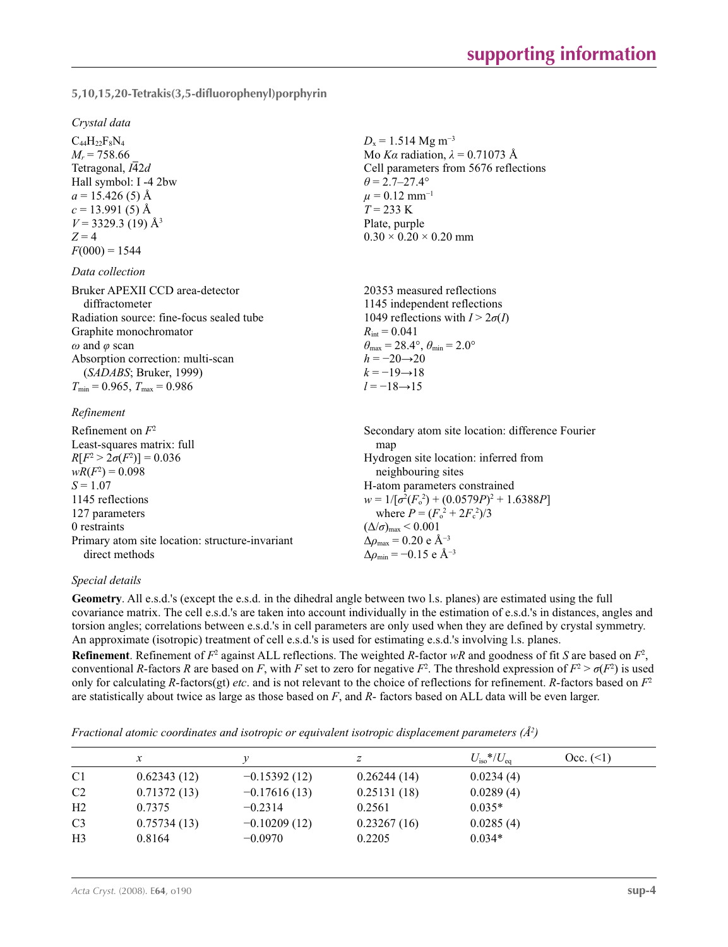**5,10,15,20-Tetrakis(3,5-difluorophenyl)porphyrin** 

#### *Crystal data*

 $C_{44}H_{22}F_8N_4$  $M_r = 758.66$ Tetragonal,  $I\overline{4}2d$ Hall symbol: I -4 2bw  $a = 15.426(5)$  Å  $c = 13.991(5)$  Å  $V = 3329.3$  (19) Å<sup>3</sup>  $Z = 4$  $F(000) = 1544$ 

#### *Data collection*

| Bruker APEXII CCD area-detector          | 20353 measured reflections                                              |
|------------------------------------------|-------------------------------------------------------------------------|
| diffractometer                           | 1145 independent reflections                                            |
| Radiation source: fine-focus sealed tube | 1049 reflections with $I > 2\sigma(I)$                                  |
| Graphite monochromator                   | $R_{\text{int}} = 0.041$                                                |
| $\omega$ and $\varphi$ scan              | $\theta_{\text{max}} = 28.4^{\circ}, \theta_{\text{min}} = 2.0^{\circ}$ |
| Absorption correction: multi-scan        | $h = -20 \rightarrow 20$                                                |
| (SADABS; Bruker, 1999)                   | $k = -19 \rightarrow 18$                                                |
| $T_{\min}$ = 0.965, $T_{\max}$ = 0.986   | $l = -18 \rightarrow 15$                                                |
|                                          |                                                                         |

#### *Refinement*

| Refinement on $F^2$                             | Secondary atom site location: difference Fourier   |
|-------------------------------------------------|----------------------------------------------------|
| Least-squares matrix: full                      | map                                                |
| $R[F^2 > 2\sigma(F^2)] = 0.036$                 | Hydrogen site location: inferred from              |
| $wR(F^2) = 0.098$                               | neighbouring sites                                 |
| $S = 1.07$                                      | H-atom parameters constrained                      |
| 1145 reflections                                | $w = 1/[\sigma^2(F_0^2) + (0.0579P)^2 + 1.6388P]$  |
| 127 parameters                                  | where $P = (F_o^2 + 2F_c^2)/3$                     |
| 0 restraints                                    | $(\Delta/\sigma)_{\text{max}}$ < 0.001             |
| Primary atom site location: structure-invariant | $\Delta\rho_{\text{max}}$ = 0.20 e Å <sup>-3</sup> |
| direct methods                                  |                                                    |
|                                                 | $\Delta \rho_{\rm min} = -0.15$ e Å <sup>-3</sup>  |

### *Special details*

**Geometry**. All e.s.d.'s (except the e.s.d. in the dihedral angle between two l.s. planes) are estimated using the full covariance matrix. The cell e.s.d.'s are taken into account individually in the estimation of e.s.d.'s in distances, angles and torsion angles; correlations between e.s.d.'s in cell parameters are only used when they are defined by crystal symmetry. An approximate (isotropic) treatment of cell e.s.d.'s is used for estimating e.s.d.'s involving l.s. planes.

 $D_x = 1.514 \text{ Mg m}^{-3}$ 

 $0.30 \times 0.20 \times 0.20$  mm

 $\theta$  = 2.7–27.4°  $\mu$  = 0.12 mm<sup>-1</sup> *T* = 233 K Plate, purple

Mo *Kα* radiation,  $\lambda = 0.71073$  Å Cell parameters from 5676 reflections

**Refinement**. Refinement of  $F^2$  against ALL reflections. The weighted *R*-factor  $wR$  and goodness of fit *S* are based on  $F^2$ , conventional *R*-factors *R* are based on *F*, with *F* set to zero for negative *F*<sup>2</sup>. The threshold expression of  $F^2 > \sigma(F^2)$  is used only for calculating *R*-factors(gt) *etc*. and is not relevant to the choice of reflections for refinement. *R*-factors based on *F*<sup>2</sup> are statistically about twice as large as those based on *F*, and *R*- factors based on ALL data will be even larger.

*Fractional atomic coordinates and isotropic or equivalent isotropic displacement parameters (Å<sup>2</sup>)* 

|                | $\mathcal{X}$ |                | Ζ           | $U_{\rm iso}*/U_{\rm eq}$ | $Occ. ( \le 1)$ |
|----------------|---------------|----------------|-------------|---------------------------|-----------------|
| C <sub>1</sub> | 0.62343(12)   | $-0.15392(12)$ | 0.26244(14) | 0.0234(4)                 |                 |
| C <sub>2</sub> | 0.71372(13)   | $-0.17616(13)$ | 0.25131(18) | 0.0289(4)                 |                 |
| H <sub>2</sub> | 0.7375        | $-0.2314$      | 0.2561      | $0.035*$                  |                 |
| C <sub>3</sub> | 0.75734(13)   | $-0.10209(12)$ | 0.23267(16) | 0.0285(4)                 |                 |
| H <sub>3</sub> | 0.8164        | $-0.0970$      | 0.2205      | $0.034*$                  |                 |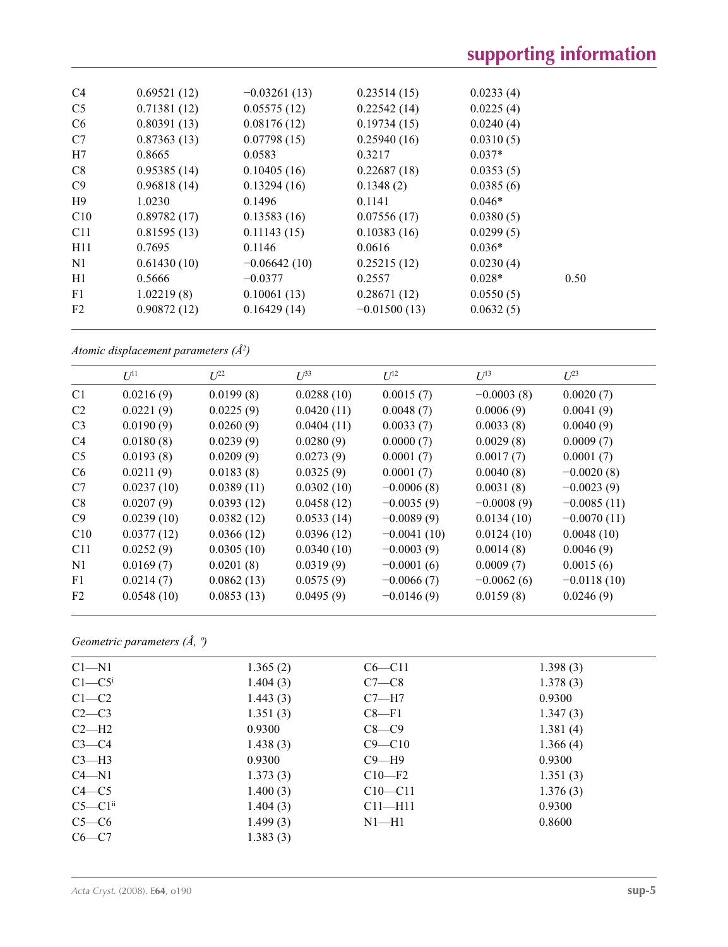| C <sub>4</sub> | 0.69521(12) | $-0.03261(13)$ | 0.23514(15)    | 0.0233(4) |      |  |
|----------------|-------------|----------------|----------------|-----------|------|--|
| C <sub>5</sub> | 0.71381(12) | 0.05575(12)    | 0.22542(14)    | 0.0225(4) |      |  |
| C <sub>6</sub> | 0.80391(13) | 0.08176(12)    | 0.19734(15)    | 0.0240(4) |      |  |
| C7             | 0.87363(13) | 0.07798(15)    | 0.25940(16)    | 0.0310(5) |      |  |
| H7             | 0.8665      | 0.0583         | 0.3217         | $0.037*$  |      |  |
| C8             | 0.95385(14) | 0.10405(16)    | 0.22687(18)    | 0.0353(5) |      |  |
| C9             | 0.96818(14) | 0.13294(16)    | 0.1348(2)      | 0.0385(6) |      |  |
| H9             | 1.0230      | 0.1496         | 0.1141         | $0.046*$  |      |  |
| C10            | 0.89782(17) | 0.13583(16)    | 0.07556(17)    | 0.0380(5) |      |  |
| C11            | 0.81595(13) | 0.11143(15)    | 0.10383(16)    | 0.0299(5) |      |  |
| H11            | 0.7695      | 0.1146         | 0.0616         | $0.036*$  |      |  |
| N <sub>1</sub> | 0.61430(10) | $-0.06642(10)$ | 0.25215(12)    | 0.0230(4) |      |  |
| H1             | 0.5666      | $-0.0377$      | 0.2557         | $0.028*$  | 0.50 |  |
| F1             | 1.02219(8)  | 0.10061(13)    | 0.28671(12)    | 0.0550(5) |      |  |
| F2             | 0.90872(12) | 0.16429(14)    | $-0.01500(13)$ | 0.0632(5) |      |  |
|                |             |                |                |           |      |  |

*Atomic displacement parameters (Å2 )*

|                | $U^{11}$   | $U^{22}$   | $\mathcal{L}^{\beta 3}$ | $U^{12}$      | $U^{13}$     | $U^{23}$      |
|----------------|------------|------------|-------------------------|---------------|--------------|---------------|
| C <sub>1</sub> | 0.0216(9)  | 0.0199(8)  | 0.0288(10)              | 0.0015(7)     | $-0.0003(8)$ | 0.0020(7)     |
| C <sub>2</sub> | 0.0221(9)  | 0.0225(9)  | 0.0420(11)              | 0.0048(7)     | 0.0006(9)    | 0.0041(9)     |
| C <sub>3</sub> | 0.0190(9)  | 0.0260(9)  | 0.0404(11)              | 0.0033(7)     | 0.0033(8)    | 0.0040(9)     |
| C <sub>4</sub> | 0.0180(8)  | 0.0239(9)  | 0.0280(9)               | 0.0000(7)     | 0.0029(8)    | 0.0009(7)     |
| C <sub>5</sub> | 0.0193(8)  | 0.0209(9)  | 0.0273(9)               | 0.0001(7)     | 0.0017(7)    | 0.0001(7)     |
| C <sub>6</sub> | 0.0211(9)  | 0.0183(8)  | 0.0325(9)               | 0.0001(7)     | 0.0040(8)    | $-0.0020(8)$  |
| C7             | 0.0237(10) | 0.0389(11) | 0.0302(10)              | $-0.0006(8)$  | 0.0031(8)    | $-0.0023(9)$  |
| C8             | 0.0207(9)  | 0.0393(12) | 0.0458(12)              | $-0.0035(9)$  | $-0.0008(9)$ | $-0.0085(11)$ |
| C9             | 0.0239(10) | 0.0382(12) | 0.0533(14)              | $-0.0089(9)$  | 0.0134(10)   | $-0.0070(11)$ |
| C10            | 0.0377(12) | 0.0366(12) | 0.0396(12)              | $-0.0041(10)$ | 0.0124(10)   | 0.0048(10)    |
| C11            | 0.0252(9)  | 0.0305(10) | 0.0340(10)              | $-0.0003(9)$  | 0.0014(8)    | 0.0046(9)     |
| N1             | 0.0169(7)  | 0.0201(8)  | 0.0319(9)               | $-0.0001(6)$  | 0.0009(7)    | 0.0015(6)     |
| F1             | 0.0214(7)  | 0.0862(13) | 0.0575(9)               | $-0.0066(7)$  | $-0.0062(6)$ | $-0.0118(10)$ |
| F <sub>2</sub> | 0.0548(10) | 0.0853(13) | 0.0495(9)               | $-0.0146(9)$  | 0.0159(8)    | 0.0246(9)     |

*Geometric parameters (Å, º)*

| $C1 - N1$              | 1.365(2) | $C6 - C11$  | 1.398(3) |
|------------------------|----------|-------------|----------|
| $C1 - C5$ <sup>i</sup> | 1.404(3) | $C7-C8$     | 1.378(3) |
| $C1-C2$                | 1.443(3) | $C7 - H7$   | 0.9300   |
| $C2-C3$                | 1.351(3) | $C8-F1$     | 1.347(3) |
| $C2-H2$                | 0.9300   | $C8-C9$     | 1.381(4) |
| $C3-C4$                | 1.438(3) | $C9 - C10$  | 1.366(4) |
| $C3-H3$                | 0.9300   | $C9 - H9$   | 0.9300   |
| $C4 - N1$              | 1.373(3) | $C10-F2$    | 1.351(3) |
| $C4 - C5$              | 1.400(3) | $C10 - C11$ | 1.376(3) |
| $C5-C1ii$              | 1.404(3) | $Cl1$ —H11  | 0.9300   |
| $C5-C6$                | 1.499(3) | $N1 - H1$   | 0.8600   |
| $C6-C7$                | 1.383(3) |             |          |
|                        |          |             |          |